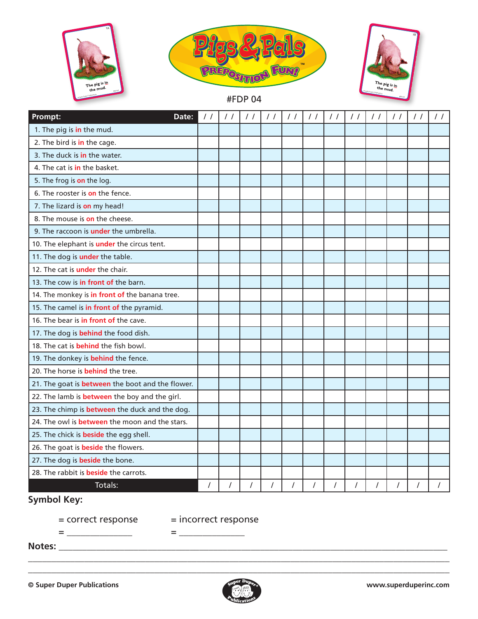





#FDP 04

| Prompt:<br>Date:                                        | $\prime$ / | $\frac{1}{2}$ | $\prime$ / | $\frac{1}{2}$ | $\prime$ / | $\prime$ / | $\frac{1}{2}$ | $\prime$ / | $\frac{1}{2}$ | $\prime$ / | $\prime$ / | $\prime$ / |
|---------------------------------------------------------|------------|---------------|------------|---------------|------------|------------|---------------|------------|---------------|------------|------------|------------|
| 1. The pig is in the mud.                               |            |               |            |               |            |            |               |            |               |            |            |            |
| 2. The bird is in the cage.                             |            |               |            |               |            |            |               |            |               |            |            |            |
| 3. The duck is in the water.                            |            |               |            |               |            |            |               |            |               |            |            |            |
| 4. The cat is in the basket.                            |            |               |            |               |            |            |               |            |               |            |            |            |
| 5. The frog is on the log.                              |            |               |            |               |            |            |               |            |               |            |            |            |
| 6. The rooster is on the fence.                         |            |               |            |               |            |            |               |            |               |            |            |            |
| 7. The lizard is on my head!                            |            |               |            |               |            |            |               |            |               |            |            |            |
| 8. The mouse is on the cheese.                          |            |               |            |               |            |            |               |            |               |            |            |            |
| 9. The raccoon is <b>under</b> the umbrella.            |            |               |            |               |            |            |               |            |               |            |            |            |
| 10. The elephant is under the circus tent.              |            |               |            |               |            |            |               |            |               |            |            |            |
| 11. The dog is under the table.                         |            |               |            |               |            |            |               |            |               |            |            |            |
| 12. The cat is <b>under</b> the chair.                  |            |               |            |               |            |            |               |            |               |            |            |            |
| 13. The cow is in front of the barn.                    |            |               |            |               |            |            |               |            |               |            |            |            |
| 14. The monkey is in front of the banana tree.          |            |               |            |               |            |            |               |            |               |            |            |            |
| 15. The camel is in front of the pyramid.               |            |               |            |               |            |            |               |            |               |            |            |            |
| 16. The bear is in front of the cave.                   |            |               |            |               |            |            |               |            |               |            |            |            |
| 17. The dog is <b>behind</b> the food dish.             |            |               |            |               |            |            |               |            |               |            |            |            |
| 18. The cat is <b>behind</b> the fish bowl.             |            |               |            |               |            |            |               |            |               |            |            |            |
| 19. The donkey is <b>behind</b> the fence.              |            |               |            |               |            |            |               |            |               |            |            |            |
| 20. The horse is <b>behind</b> the tree.                |            |               |            |               |            |            |               |            |               |            |            |            |
| 21. The goat is <b>between</b> the boot and the flower. |            |               |            |               |            |            |               |            |               |            |            |            |
| 22. The lamb is <b>between</b> the boy and the girl.    |            |               |            |               |            |            |               |            |               |            |            |            |
| 23. The chimp is <b>between</b> the duck and the dog.   |            |               |            |               |            |            |               |            |               |            |            |            |
| 24. The owl is <b>between</b> the moon and the stars.   |            |               |            |               |            |            |               |            |               |            |            |            |
| 25. The chick is <b>beside</b> the egg shell.           |            |               |            |               |            |            |               |            |               |            |            |            |
| 26. The goat is <b>beside</b> the flowers.              |            |               |            |               |            |            |               |            |               |            |            |            |
| 27. The dog is <b>beside</b> the bone.                  |            |               |            |               |            |            |               |            |               |            |            |            |
| 28. The rabbit is <b>beside</b> the carrots.            |            |               |            |               |            |            |               |            |               |            |            |            |
| Totals:                                                 | T          |               | $\prime$   | $\prime$      | $\prime$   | $\prime$   | $\prime$      | $\sqrt{2}$ | $\prime$      | $\prime$   | $\prime$   |            |

## **Symbol Key:**

= \_\_\_\_\_\_\_\_\_\_\_\_\_\_ = \_\_\_\_\_\_\_\_\_\_\_\_\_\_

= correct response = incorrect response

**Notes:** \_\_\_\_\_\_\_\_\_\_\_\_\_\_\_\_\_\_\_\_\_\_\_\_\_\_\_\_\_\_\_\_\_\_\_\_\_\_\_\_\_\_\_\_\_\_\_\_\_\_\_\_\_\_\_\_\_\_\_\_\_\_\_\_\_\_\_\_\_\_\_\_\_\_\_\_\_\_\_\_\_\_\_



\_\_\_\_\_\_\_\_\_\_\_\_\_\_\_\_\_\_\_\_\_\_\_\_\_\_\_\_\_\_\_\_\_\_\_\_\_\_\_\_\_\_\_\_\_\_\_\_\_\_\_\_\_\_\_\_\_\_\_\_\_\_\_\_\_\_\_\_\_\_\_\_\_\_\_\_\_\_\_\_\_\_\_\_\_\_\_\_\_\_ \_\_\_\_\_\_\_\_\_\_\_\_\_\_\_\_\_\_\_\_\_\_\_\_\_\_\_\_\_\_\_\_\_\_\_\_\_\_\_\_\_\_\_\_\_\_\_\_\_\_\_\_\_\_\_\_\_\_\_\_\_\_\_\_\_\_\_\_\_\_\_\_\_\_\_\_\_\_\_\_\_\_\_\_\_\_\_\_\_\_